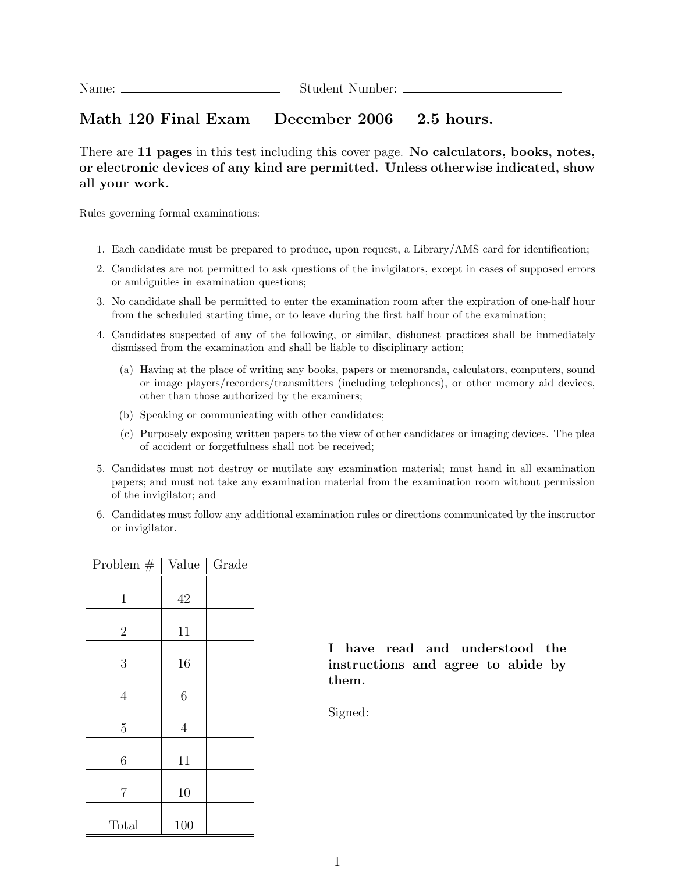## Math 120 Final Exam December 2006 2.5 hours.

There are 11 pages in this test including this cover page. No calculators, books, notes, or electronic devices of any kind are permitted. Unless otherwise indicated, show all your work.

Rules governing formal examinations:

- 1. Each candidate must be prepared to produce, upon request, a Library/AMS card for identification;
- 2. Candidates are not permitted to ask questions of the invigilators, except in cases of supposed errors or ambiguities in examination questions;
- 3. No candidate shall be permitted to enter the examination room after the expiration of one-half hour from the scheduled starting time, or to leave during the first half hour of the examination;
- 4. Candidates suspected of any of the following, or similar, dishonest practices shall be immediately dismissed from the examination and shall be liable to disciplinary action;
	- (a) Having at the place of writing any books, papers or memoranda, calculators, computers, sound or image players/recorders/transmitters (including telephones), or other memory aid devices, other than those authorized by the examiners;
	- (b) Speaking or communicating with other candidates;
	- (c) Purposely exposing written papers to the view of other candidates or imaging devices. The plea of accident or forgetfulness shall not be received;
- 5. Candidates must not destroy or mutilate any examination material; must hand in all examination papers; and must not take any examination material from the examination room without permission of the invigilator; and
- 6. Candidates must follow any additional examination rules or directions communicated by the instructor or invigilator.

| Problem $#$    | Value          | Grade |
|----------------|----------------|-------|
| $\mathbf{1}$   | 42             |       |
| $\overline{2}$ | 11             |       |
| $\mathfrak{Z}$ | 16             |       |
| $\overline{4}$ | 6              |       |
| $\overline{5}$ | $\overline{4}$ |       |
| 6              | 11             |       |
| 7              | 10             |       |
| Total          | 100            |       |

I have read and understood the instructions and agree to abide by them.

Signed: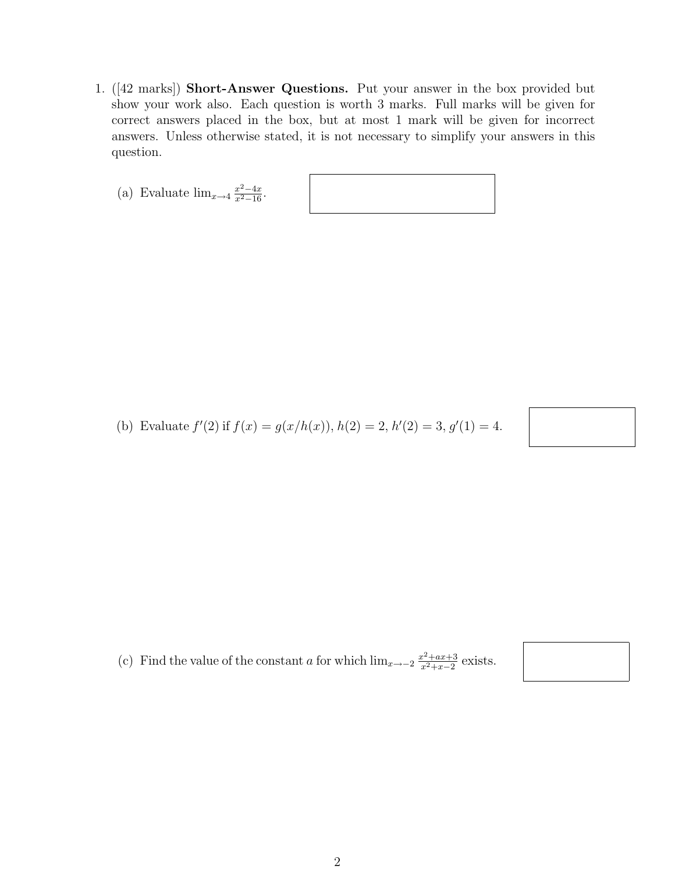- 1. ([42 marks]) Short-Answer Questions. Put your answer in the box provided but show your work also. Each question is worth 3 marks. Full marks will be given for correct answers placed in the box, but at most 1 mark will be given for incorrect answers. Unless otherwise stated, it is not necessary to simplify your answers in this question.
	- (a) Evaluate  $\lim_{x \to 4} \frac{x^2 4x}{x^2 16}$ .

(b) Evaluate  $f'(2)$  if  $f(x) = g(x/h(x)), h(2) = 2, h'(2) = 3, g'(1) = 4.$ 

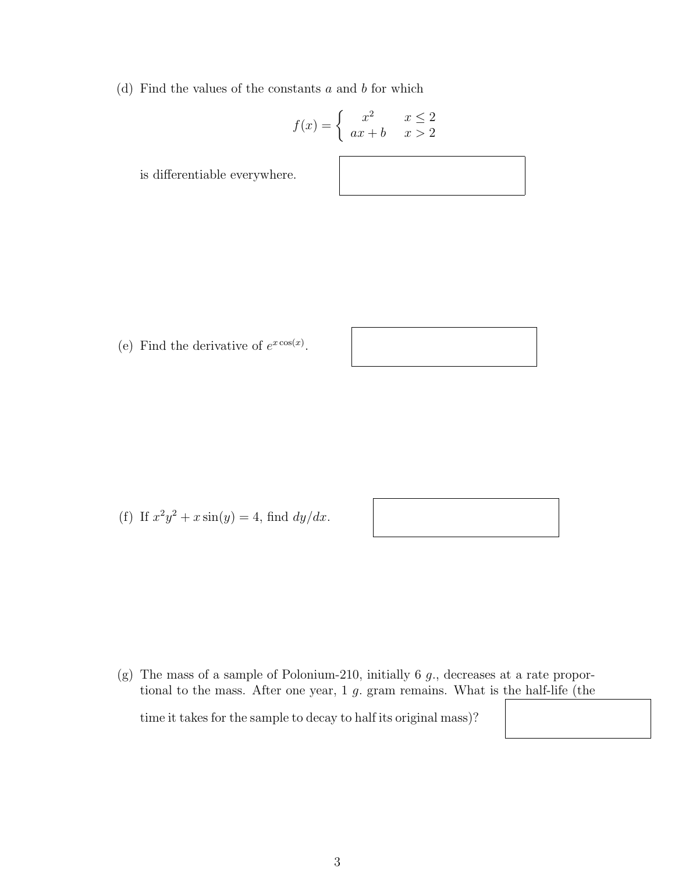(d) Find the values of the constants  $a$  and  $b$  for which

$$
f(x) = \begin{cases} x^2 & x \le 2\\ ax + b & x > 2 \end{cases}
$$

is differentiable everywhere.

(e) Find the derivative of 
$$
e^{x \cos(x)}
$$
.

(f) If  $x^2y^2 + x \sin(y) = 4$ , find  $dy/dx$ .

(g) The mass of a sample of Polonium-210, initially 6 g., decreases at a rate proportional to the mass. After one year, 1 g. gram remains. What is the half-life (the

time it takes for the sample to decay to half its original mass)?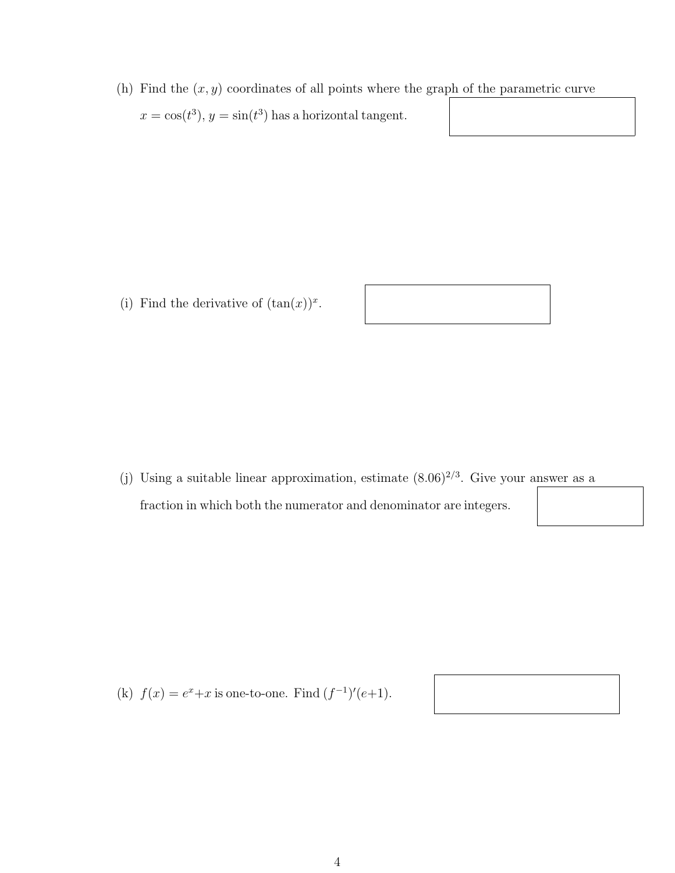(h) Find the  $(x, y)$  coordinates of all points where the graph of the parametric curve  $x = \cos(t^3), y = \sin(t^3)$  has a horizontal tangent.

(i) Find the derivative of  $(\tan(x))^x$ .

(j) Using a suitable linear approximation, estimate  $(8.06)^{2/3}$ . Give your answer as a fraction in which both the numerator and denominator are integers.

(k)  $f(x) = e^x + x$  is one-to-one. Find  $(f^{-1})'(e+1)$ .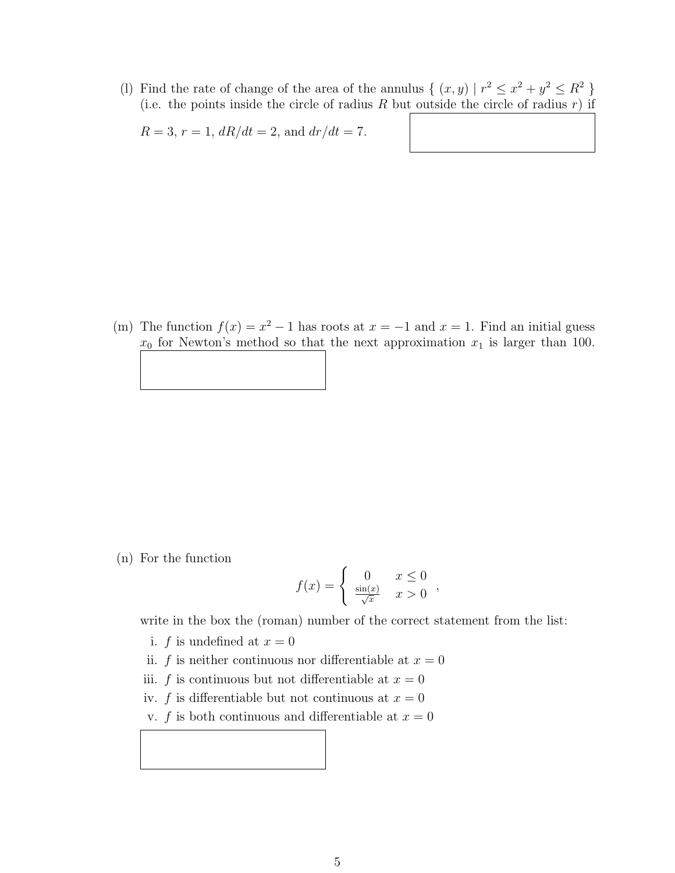(1) Find the rate of change of the area of the annulus  $\{(x, y) | r^2 \leq x^2 + y^2 \leq R^2 \}$ (i.e. the points inside the circle of radius  $R$  but outside the circle of radius  $r$ ) if

 $R = 3, r = 1, dR/dt = 2, \text{ and } dr/dt = 7.$ 

(m) The function  $f(x) = x^2 - 1$  has roots at  $x = -1$  and  $x = 1$ . Find an initial guess  $x_0$  for Newton's method so that the next approximation  $x_1$  is larger than 100.

(n) For the function

$$
f(x) = \begin{cases} 0 & x \le 0 \\ \frac{\sin(x)}{\sqrt{x}} & x > 0 \end{cases}
$$

write in the box the (roman) number of the correct statement from the list:

- i. f is undefined at  $x = 0$
- ii. f is neither continuous nor differentiable at  $x = 0$
- iii. f is continuous but not differentiable at  $x = 0$
- iv. f is differentiable but not continuous at  $x = 0$
- v. f is both continuous and differentiable at  $x = 0$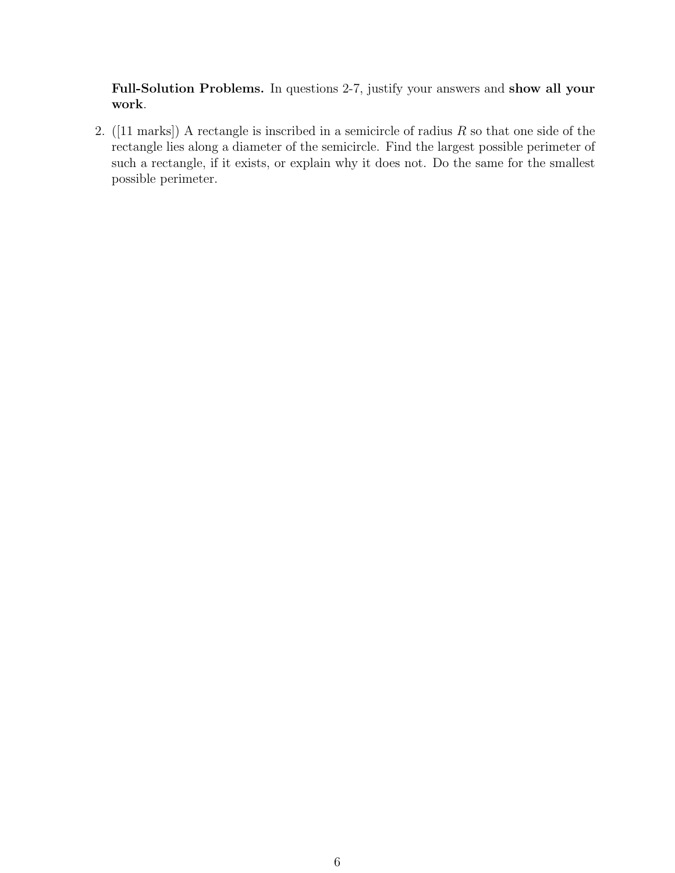Full-Solution Problems. In questions 2-7, justify your answers and show all your work.

2. ([11 marks]) A rectangle is inscribed in a semicircle of radius  $R$  so that one side of the rectangle lies along a diameter of the semicircle. Find the largest possible perimeter of such a rectangle, if it exists, or explain why it does not. Do the same for the smallest possible perimeter.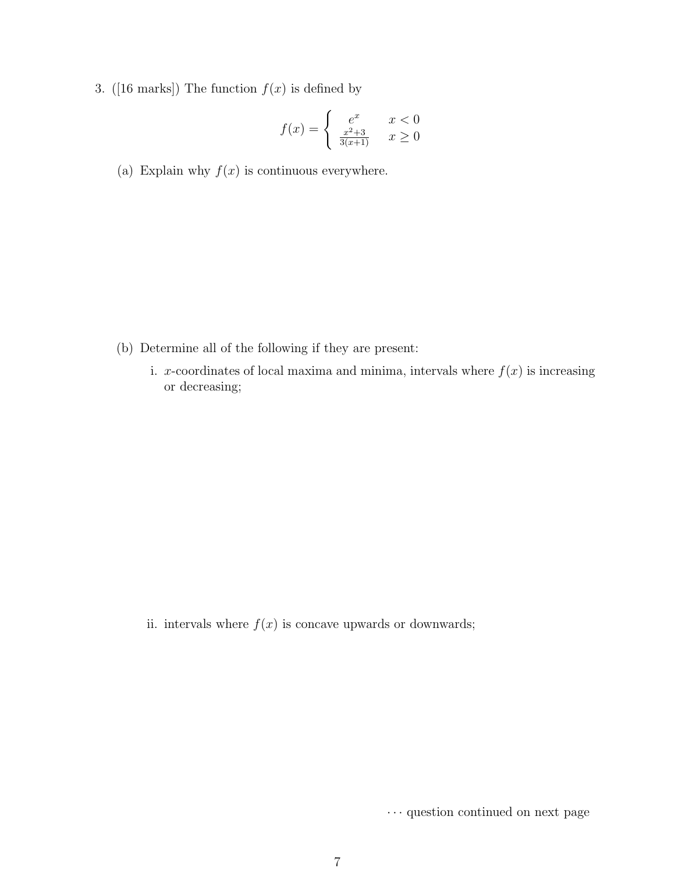3. ([16 marks]) The function  $f(x)$  is defined by

$$
f(x) = \begin{cases} e^x & x < 0\\ \frac{x^2 + 3}{3(x+1)} & x \ge 0 \end{cases}
$$

(a) Explain why  $f(x)$  is continuous everywhere.

- (b) Determine all of the following if they are present:
	- i. x-coordinates of local maxima and minima, intervals where  $f(x)$  is increasing or decreasing;

ii. intervals where  $f(x)$  is concave upwards or downwards;

 $\cdots$  question continued on next page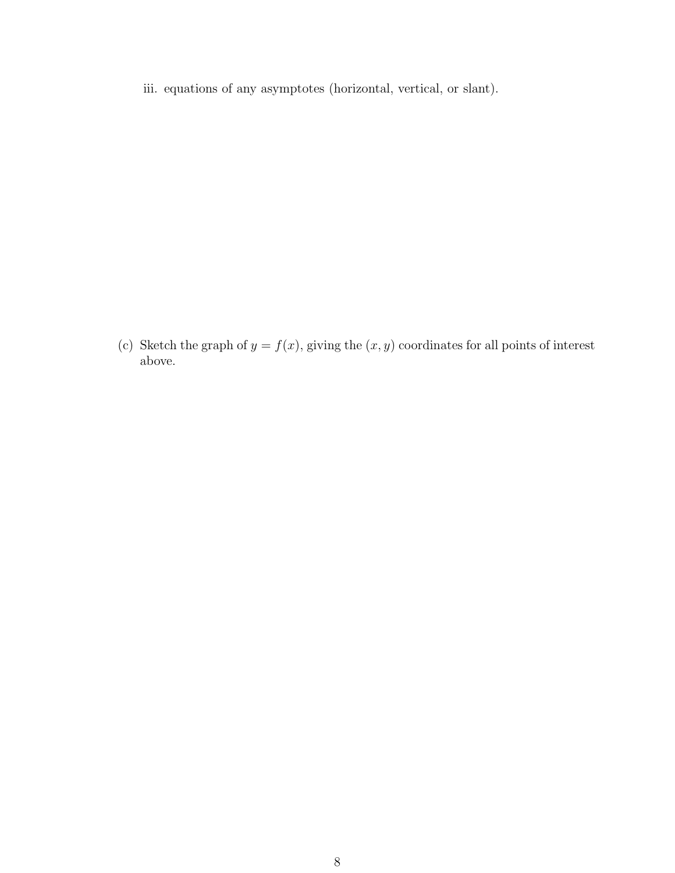iii. equations of any asymptotes (horizontal, vertical, or slant).

(c) Sketch the graph of  $y = f(x)$ , giving the  $(x, y)$  coordinates for all points of interest above.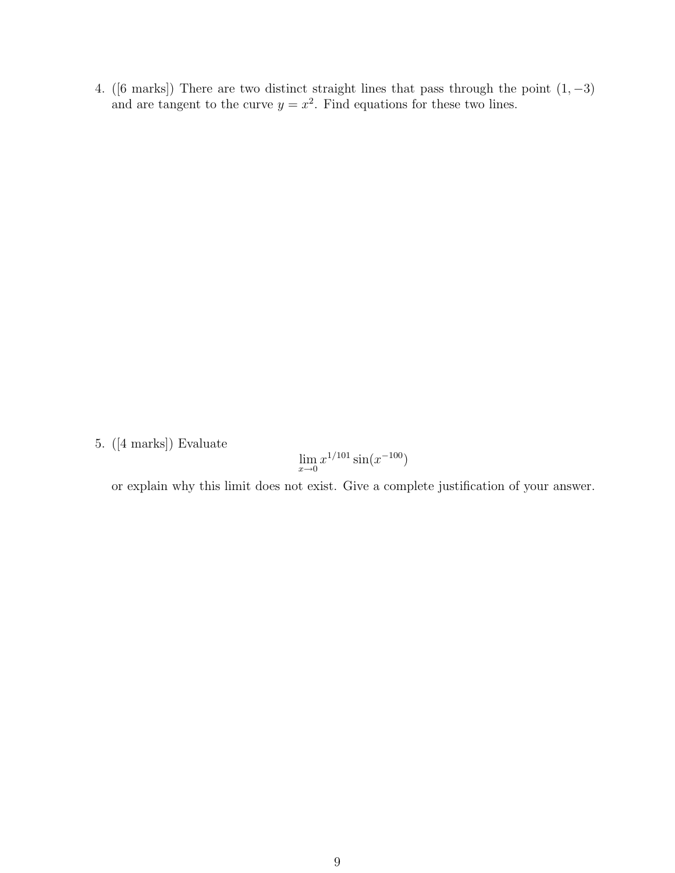4. ([6 marks]) There are two distinct straight lines that pass through the point  $(1, -3)$ and are tangent to the curve  $y = x^2$ . Find equations for these two lines.

5. ([4 marks]) Evaluate

$$
\lim_{x \to 0} x^{1/101} \sin(x^{-100})
$$

or explain why this limit does not exist. Give a complete justification of your answer.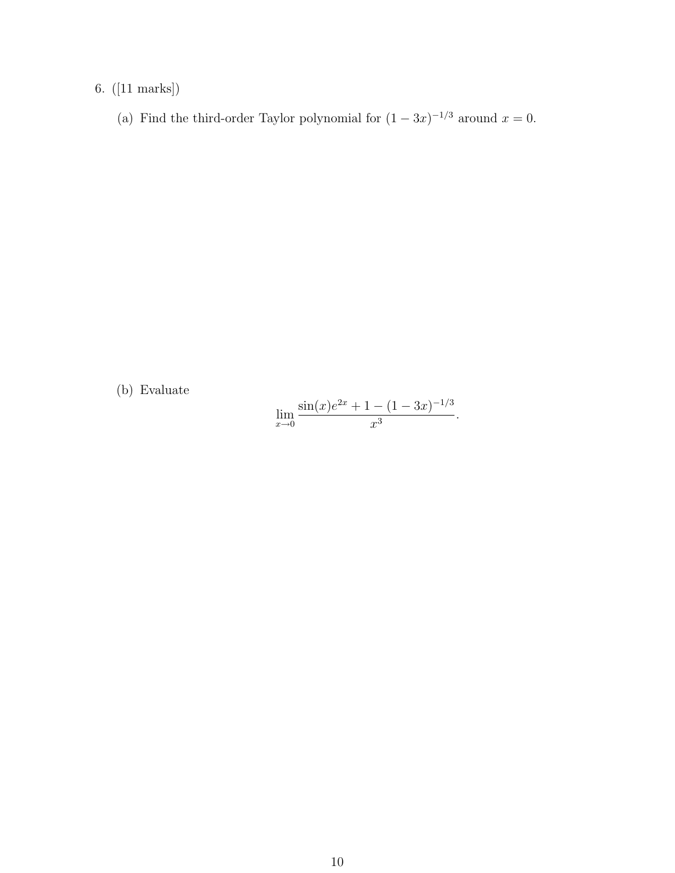## 6. ([11 marks])

(a) Find the third-order Taylor polynomial for  $(1-3x)^{-1/3}$  around  $x=0$ .

(b) Evaluate

$$
\lim_{x \to 0} \frac{\sin(x)e^{2x} + 1 - (1 - 3x)^{-1/3}}{x^3}.
$$